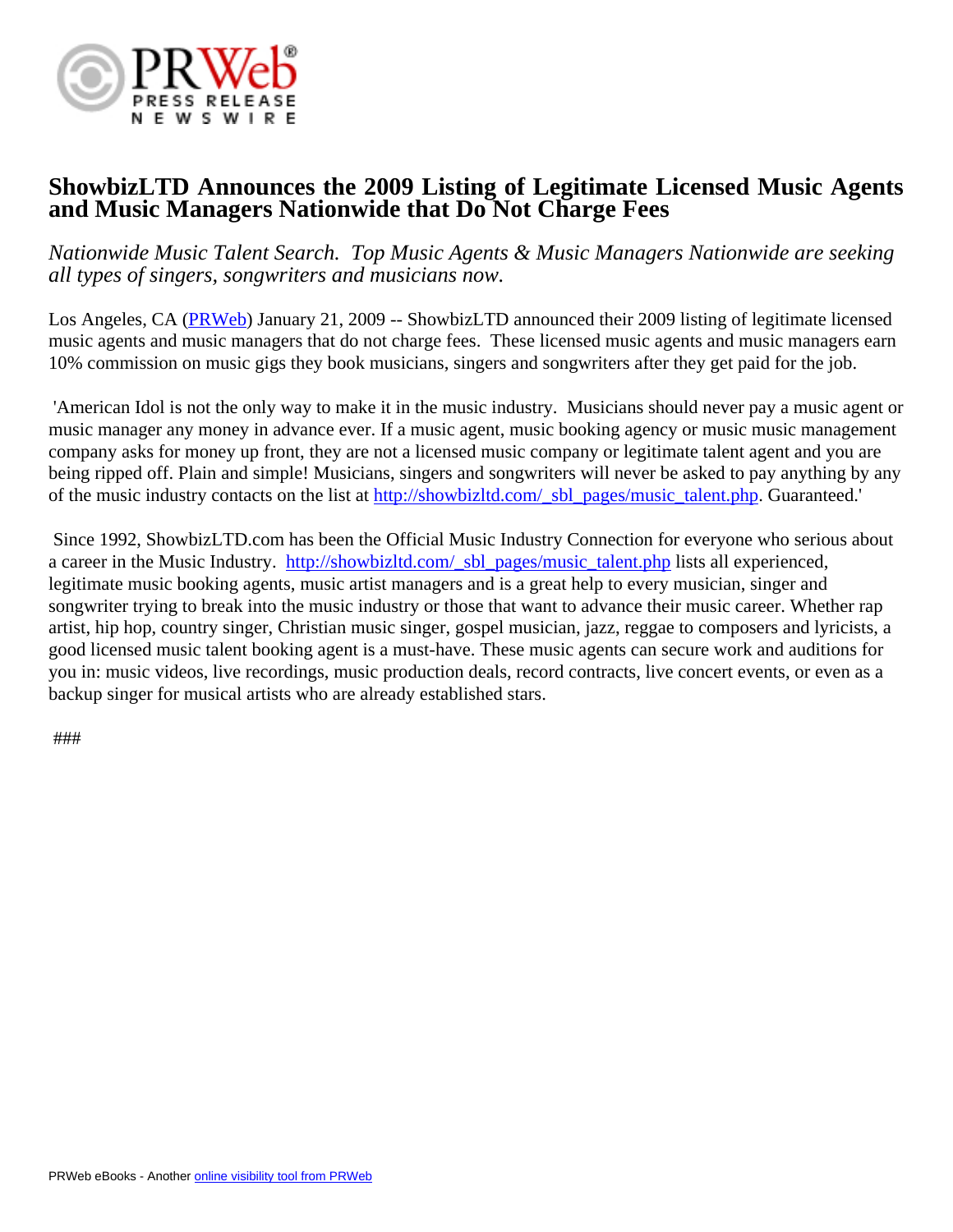

## **ShowbizLTD Announces the 2009 Listing of Legitimate Licensed Music Agents and Music Managers Nationwide that Do Not Charge Fees**

*Nationwide Music Talent Search. Top Music Agents & Music Managers Nationwide are seeking all types of singers, songwriters and musicians now.*

Los Angeles, CA [\(PRWeb](http://www.prweb.com)) January 21, 2009 -- ShowbizLTD announced their 2009 listing of legitimate licensed music agents and music managers that do not charge fees. These licensed music agents and music managers earn 10% commission on music gigs they book musicians, singers and songwriters after they get paid for the job.

 'American Idol is not the only way to make it in the music industry. Musicians should never pay a music agent or music manager any money in advance ever. If a music agent, music booking agency or music music management company asks for money up front, they are not a licensed music company or legitimate talent agent and you are being ripped off. Plain and simple! Musicians, singers and songwriters will never be asked to pay anything by any of the music industry contacts on the list at [http://showbizltd.com/\\_sbl\\_pages/music\\_talent.php.](http://showbizltd.com/_sbl_pages/music_talent.php) Guaranteed.'

 Since 1992, ShowbizLTD.com has been the Official Music Industry Connection for everyone who serious about a career in the Music Industry. [http://showbizltd.com/\\_sbl\\_pages/music\\_talent.php](http://showbizltd.com/_sbl_pages/music_talent.php) lists all experienced, legitimate music booking agents, music artist managers and is a great help to every musician, singer and songwriter trying to break into the music industry or those that want to advance their music career. Whether rap artist, hip hop, country singer, Christian music singer, gospel musician, jazz, reggae to composers and lyricists, a good licensed music talent booking agent is a must-have. These music agents can secure work and auditions for you in: music videos, live recordings, music production deals, record contracts, live concert events, or even as a backup singer for musical artists who are already established stars.

###